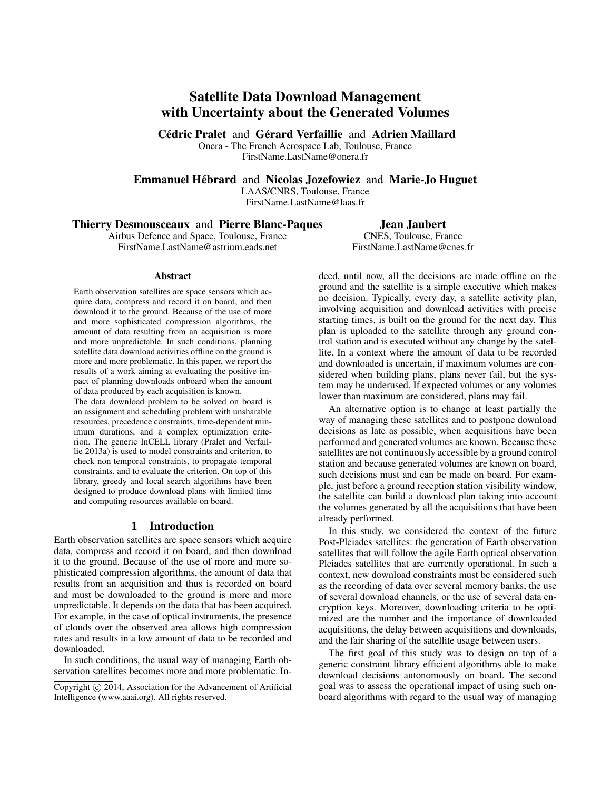# Satellite Data Download Management with Uncertainty about the Generated Volumes

Cédric Pralet and Gérard Verfaillie and Adrien Maillard

Onera - The French Aerospace Lab, Toulouse, France FirstName.LastName@onera.fr

Emmanuel Hébrard and Nicolas Jozefowiez and Marie-Jo Huguet

LAAS/CNRS, Toulouse, France

FirstName.LastName@laas.fr

## Thierry Desmousceaux and Pierre Blanc-Paques

Airbus Defence and Space, Toulouse, France FirstName.LastName@astrium.eads.net

Jean Jaubert CNES, Toulouse, France FirstName.LastName@cnes.fr

#### Abstract

Earth observation satellites are space sensors which acquire data, compress and record it on board, and then download it to the ground. Because of the use of more and more sophisticated compression algorithms, the amount of data resulting from an acquisition is more and more unpredictable. In such conditions, planning satellite data download activities offline on the ground is more and more problematic. In this paper, we report the results of a work aiming at evaluating the positive impact of planning downloads onboard when the amount of data produced by each acquisition is known.

The data download problem to be solved on board is an assignment and scheduling problem with unsharable resources, precedence constraints, time-dependent minimum durations, and a complex optimization criterion. The generic InCELL library (Pralet and Verfaillie 2013a) is used to model constraints and criterion, to check non temporal constraints, to propagate temporal constraints, and to evaluate the criterion. On top of this library, greedy and local search algorithms have been designed to produce download plans with limited time and computing resources available on board.

### 1 Introduction

Earth observation satellites are space sensors which acquire data, compress and record it on board, and then download it to the ground. Because of the use of more and more sophisticated compression algorithms, the amount of data that results from an acquisition and thus is recorded on board and must be downloaded to the ground is more and more unpredictable. It depends on the data that has been acquired. For example, in the case of optical instruments, the presence of clouds over the observed area allows high compression rates and results in a low amount of data to be recorded and downloaded.

In such conditions, the usual way of managing Earth observation satellites becomes more and more problematic. Indeed, until now, all the decisions are made offline on the ground and the satellite is a simple executive which makes no decision. Typically, every day, a satellite activity plan, involving acquisition and download activities with precise starting times, is built on the ground for the next day. This plan is uploaded to the satellite through any ground control station and is executed without any change by the satellite. In a context where the amount of data to be recorded and downloaded is uncertain, if maximum volumes are considered when building plans, plans never fail, but the system may be underused. If expected volumes or any volumes lower than maximum are considered, plans may fail.

An alternative option is to change at least partially the way of managing these satellites and to postpone download decisions as late as possible, when acquisitions have been performed and generated volumes are known. Because these satellites are not continuously accessible by a ground control station and because generated volumes are known on board, such decisions must and can be made on board. For example, just before a ground reception station visibility window, the satellite can build a download plan taking into account the volumes generated by all the acquisitions that have been already performed.

In this study, we considered the context of the future Post-Pleiades satellites: the generation of Earth observation satellites that will follow the agile Earth optical observation Pleiades satellites that are currently operational. In such a context, new download constraints must be considered such as the recording of data over several memory banks, the use of several download channels, or the use of several data encryption keys. Moreover, downloading criteria to be optimized are the number and the importance of downloaded acquisitions, the delay between acquisitions and downloads, and the fair sharing of the satellite usage between users.

The first goal of this study was to design on top of a generic constraint library efficient algorithms able to make download decisions autonomously on board. The second goal was to assess the operational impact of using such onboard algorithms with regard to the usual way of managing

Copyright (c) 2014, Association for the Advancement of Artificial Intelligence (www.aaai.org). All rights reserved.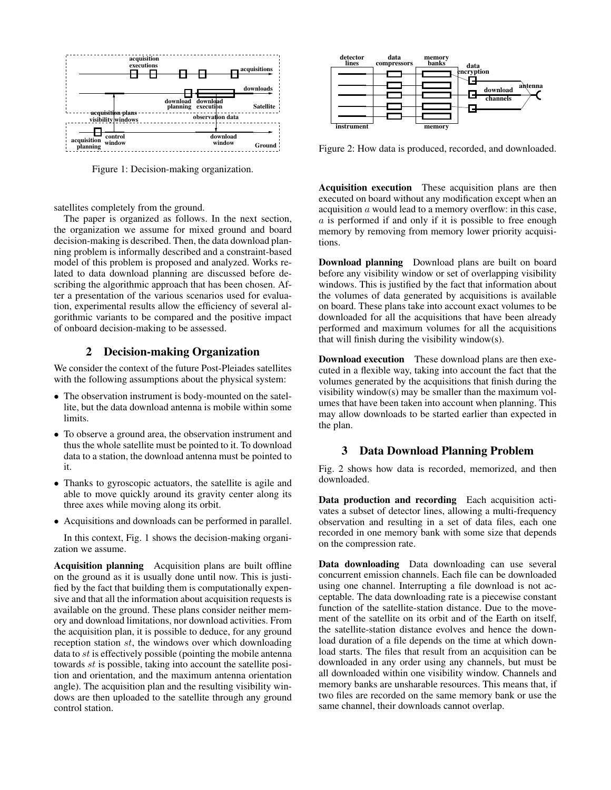

Figure 1: Decision-making organization.

satellites completely from the ground.

The paper is organized as follows. In the next section, the organization we assume for mixed ground and board decision-making is described. Then, the data download planning problem is informally described and a constraint-based model of this problem is proposed and analyzed. Works related to data download planning are discussed before describing the algorithmic approach that has been chosen. After a presentation of the various scenarios used for evaluation, experimental results allow the efficiency of several algorithmic variants to be compared and the positive impact of onboard decision-making to be assessed.

### 2 Decision-making Organization

We consider the context of the future Post-Pleiades satellites with the following assumptions about the physical system:

- The observation instrument is body-mounted on the satellite, but the data download antenna is mobile within some limits.
- To observe a ground area, the observation instrument and thus the whole satellite must be pointed to it. To download data to a station, the download antenna must be pointed to it.
- Thanks to gyroscopic actuators, the satellite is agile and able to move quickly around its gravity center along its three axes while moving along its orbit.
- Acquisitions and downloads can be performed in parallel.

In this context, Fig. 1 shows the decision-making organization we assume.

Acquisition planning Acquisition plans are built offline on the ground as it is usually done until now. This is justified by the fact that building them is computationally expensive and that all the information about acquisition requests is available on the ground. These plans consider neither memory and download limitations, nor download activities. From the acquisition plan, it is possible to deduce, for any ground reception station st, the windows over which downloading data to  $st$  is effectively possible (pointing the mobile antenna towards st is possible, taking into account the satellite position and orientation, and the maximum antenna orientation angle). The acquisition plan and the resulting visibility windows are then uploaded to the satellite through any ground control station.



Figure 2: How data is produced, recorded, and downloaded.

Acquisition execution These acquisition plans are then executed on board without any modification except when an acquisition a would lead to a memory overflow: in this case, a is performed if and only if it is possible to free enough memory by removing from memory lower priority acquisitions.

Download planning Download plans are built on board before any visibility window or set of overlapping visibility windows. This is justified by the fact that information about the volumes of data generated by acquisitions is available on board. These plans take into account exact volumes to be downloaded for all the acquisitions that have been already performed and maximum volumes for all the acquisitions that will finish during the visibility window(s).

Download execution These download plans are then executed in a flexible way, taking into account the fact that the volumes generated by the acquisitions that finish during the visibility window(s) may be smaller than the maximum volumes that have been taken into account when planning. This may allow downloads to be started earlier than expected in the plan.

### 3 Data Download Planning Problem

Fig. 2 shows how data is recorded, memorized, and then downloaded.

Data production and recording Each acquisition activates a subset of detector lines, allowing a multi-frequency observation and resulting in a set of data files, each one recorded in one memory bank with some size that depends on the compression rate.

Data downloading Data downloading can use several concurrent emission channels. Each file can be downloaded using one channel. Interrupting a file download is not acceptable. The data downloading rate is a piecewise constant function of the satellite-station distance. Due to the movement of the satellite on its orbit and of the Earth on itself, the satellite-station distance evolves and hence the download duration of a file depends on the time at which download starts. The files that result from an acquisition can be downloaded in any order using any channels, but must be all downloaded within one visibility window. Channels and memory banks are unsharable resources. This means that, if two files are recorded on the same memory bank or use the same channel, their downloads cannot overlap.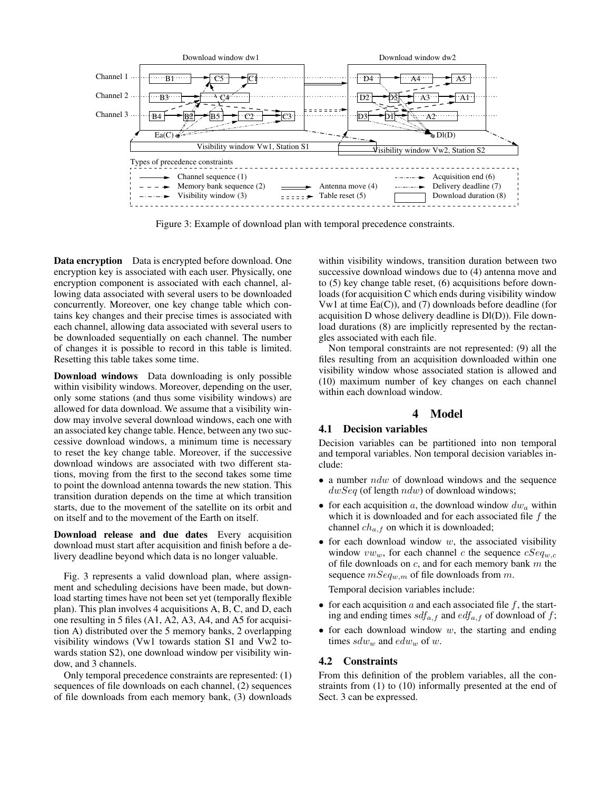

Figure 3: Example of download plan with temporal precedence constraints.

Data encryption Data is encrypted before download. One encryption key is associated with each user. Physically, one encryption component is associated with each channel, allowing data associated with several users to be downloaded concurrently. Moreover, one key change table which contains key changes and their precise times is associated with each channel, allowing data associated with several users to be downloaded sequentially on each channel. The number of changes it is possible to record in this table is limited. Resetting this table takes some time.

Download windows Data downloading is only possible within visibility windows. Moreover, depending on the user, only some stations (and thus some visibility windows) are allowed for data download. We assume that a visibility window may involve several download windows, each one with an associated key change table. Hence, between any two successive download windows, a minimum time is necessary to reset the key change table. Moreover, if the successive download windows are associated with two different stations, moving from the first to the second takes some time to point the download antenna towards the new station. This transition duration depends on the time at which transition starts, due to the movement of the satellite on its orbit and on itself and to the movement of the Earth on itself.

Download release and due dates Every acquisition download must start after acquisition and finish before a delivery deadline beyond which data is no longer valuable.

Fig. 3 represents a valid download plan, where assignment and scheduling decisions have been made, but download starting times have not been set yet (temporally flexible plan). This plan involves 4 acquisitions A, B, C, and D, each one resulting in 5 files (A1, A2, A3, A4, and A5 for acquisition A) distributed over the 5 memory banks, 2 overlapping visibility windows (Vw1 towards station S1 and Vw2 towards station S2), one download window per visibility window, and 3 channels.

Only temporal precedence constraints are represented: (1) sequences of file downloads on each channel, (2) sequences of file downloads from each memory bank, (3) downloads

within visibility windows, transition duration between two successive download windows due to (4) antenna move and to (5) key change table reset, (6) acquisitions before downloads (for acquisition C which ends during visibility window Vw1 at time  $E_a(C)$ ), and (7) downloads before deadline (for acquisition D whose delivery deadline is Dl(D)). File download durations (8) are implicitly represented by the rectangles associated with each file.

Non temporal constraints are not represented: (9) all the files resulting from an acquisition downloaded within one visibility window whose associated station is allowed and (10) maximum number of key changes on each channel within each download window.

### 4 Model

### 4.1 Decision variables

Decision variables can be partitioned into non temporal and temporal variables. Non temporal decision variables include:

- a number  $ndw$  of download windows and the sequence  $dwSeq$  (of length  $ndw$ ) of download windows;
- for each acquisition a, the download window  $dw_a$  within which it is downloaded and for each associated file  $f$  the channel  $ch_{a,f}$  on which it is downloaded;
- for each download window  $w$ , the associated visibility window  $vw_w$ , for each channel c the sequence  $cSeq_{w,c}$ of file downloads on  $c$ , and for each memory bank  $m$  the sequence  $mSeq_{w,m}$  of file downloads from m.

Temporal decision variables include:

- for each acquisition  $a$  and each associated file  $f$ , the starting and ending times  $sdf_{a,f}$  and  $edf_{a,f}$  of download of f;
- for each download window  $w$ , the starting and ending times  $sdw_w$  and  $edw_w$  of  $w.$

### 4.2 Constraints

From this definition of the problem variables, all the constraints from (1) to (10) informally presented at the end of Sect. 3 can be expressed.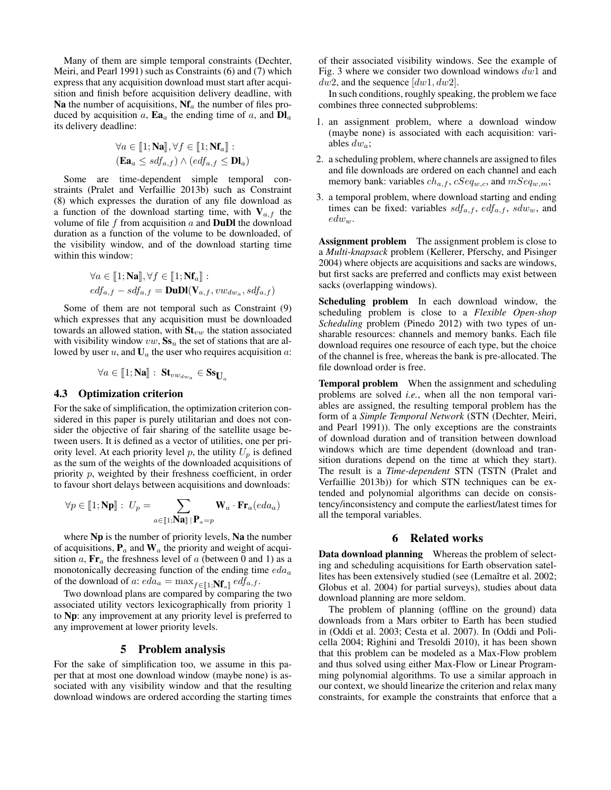Many of them are simple temporal constraints (Dechter, Meiri, and Pearl 1991) such as Constraints (6) and (7) which express that any acquisition download must start after acquisition and finish before acquisition delivery deadline, with Na the number of acquisitions,  $Nf_a$  the number of files produced by acquisition a,  $\mathbf{Ea}_a$  the ending time of a, and  $\mathbf{DI}_a$ its delivery deadline:

$$
\forall a \in [\![1; \mathbf{Na}]\!], \forall f \in [\![1; \mathbf{Nf}_a]\!]:
$$

$$
(\mathbf{Ea}_a \leq sdf_{a,f}) \land (edf_{a,f} \leq \mathbf{Dl}_a)
$$

Some are time-dependent simple temporal constraints (Pralet and Verfaillie 2013b) such as Constraint (8) which expresses the duration of any file download as a function of the download starting time, with  $V_{a,f}$  the volume of file f from acquisition  $\alpha$  and **DuDl** the download duration as a function of the volume to be downloaded, of the visibility window, and of the download starting time within this window:

$$
\forall a \in [\![1; \mathbf{Na}]\!], \forall f \in [\![1; \mathbf{Nf}_a]\!]:
$$
  

$$
edf_{a,f} - sdf_{a,f} = \mathbf{DuD}(\mathbf{V}_{a,f}, vw_{dw_a}, sdf_{a,f})
$$

Some of them are not temporal such as Constraint (9) which expresses that any acquisition must be downloaded towards an allowed station, with  $St_{vw}$  the station associated with visibility window  $vw$ ,  $Ss<sub>u</sub>$  the set of stations that are allowed by user  $u$ , and  $U_a$  the user who requires acquisition  $a$ :

$$
\forall a \in [\![1; \mathbf{Na}]\!]: \mathbf{St}_{vw_{dw_a}} \in \mathbf{Ss}_{\mathbf{U}_a}
$$

### 4.3 Optimization criterion

For the sake of simplification, the optimization criterion considered in this paper is purely utilitarian and does not consider the objective of fair sharing of the satellite usage between users. It is defined as a vector of utilities, one per priority level. At each priority level p, the utility  $U_p$  is defined as the sum of the weights of the downloaded acquisitions of priority p, weighted by their freshness coefficient, in order to favour short delays between acquisitions and downloads:

$$
\forall p \in [\![1; \mathbf{Np}]\!] : U_p = \sum_{a \in [\![1; \mathbf{Na}]\!] \, | \mathbf{P}_a = p} \mathbf{W}_a \cdot \mathbf{Fr}_a (eda_a)
$$

where Np is the number of priority levels, Na the number of acquisitions,  $P_a$  and  $W_a$  the priority and weight of acquisition a,  $\mathbf{Fr}_a$  the freshness level of a (between 0 and 1) as a monotonically decreasing function of the ending time  $eda_a$ of the download of a:  $eda_a = \max_{f \in [\![ 1, \mathbf{Nf}_a]\!]} edf_{a,f}$ .<br>Two download plans are compared by comparing

Two download plans are compared by comparing the two associated utility vectors lexicographically from priority 1 to Np: any improvement at any priority level is preferred to any improvement at lower priority levels.

### 5 Problem analysis

For the sake of simplification too, we assume in this paper that at most one download window (maybe none) is associated with any visibility window and that the resulting download windows are ordered according the starting times of their associated visibility windows. See the example of Fig. 3 where we consider two download windows dw1 and  $dw2$ , and the sequence  $(dw1, dw2]$ .

In such conditions, roughly speaking, the problem we face combines three connected subproblems:

- 1. an assignment problem, where a download window (maybe none) is associated with each acquisition: variables  $dw_a$ ;
- 2. a scheduling problem, where channels are assigned to files and file downloads are ordered on each channel and each memory bank: variables  $ch_{a,f}$ ,  $cSeq_{w,c}$ , and  $mSeq_{w,m}$ ;
- 3. a temporal problem, where download starting and ending times can be fixed: variables  $sdf_{a,f}$ ,  $edf_{a,f}$ ,  $sdw_w$ , and  $edw_w$ .

Assignment problem The assignment problem is close to a *Multi-knapsack* problem (Kellerer, Pferschy, and Pisinger 2004) where objects are acquisitions and sacks are windows, but first sacks are preferred and conflicts may exist between sacks (overlapping windows).

Scheduling problem In each download window, the scheduling problem is close to a *Flexible Open-shop Scheduling* problem (Pinedo 2012) with two types of unsharable resources: channels and memory banks. Each file download requires one resource of each type, but the choice of the channel is free, whereas the bank is pre-allocated. The file download order is free.

Temporal problem When the assignment and scheduling problems are solved *i.e.*, when all the non temporal variables are assigned, the resulting temporal problem has the form of a *Simple Temporal Network* (STN (Dechter, Meiri, and Pearl 1991)). The only exceptions are the constraints of download duration and of transition between download windows which are time dependent (download and transition durations depend on the time at which they start). The result is a *Time-dependent* STN (TSTN (Pralet and Verfaillie 2013b)) for which STN techniques can be extended and polynomial algorithms can decide on consistency/inconsistency and compute the earliest/latest times for all the temporal variables.

#### 6 Related works

Data download planning Whereas the problem of selecting and scheduling acquisitions for Earth observation satellites has been extensively studied (see (Lemaître et al. 2002; Globus et al. 2004) for partial surveys), studies about data download planning are more seldom.

The problem of planning (offline on the ground) data downloads from a Mars orbiter to Earth has been studied in (Oddi et al. 2003; Cesta et al. 2007). In (Oddi and Policella 2004; Righini and Tresoldi 2010), it has been shown that this problem can be modeled as a Max-Flow problem and thus solved using either Max-Flow or Linear Programming polynomial algorithms. To use a similar approach in our context, we should linearize the criterion and relax many constraints, for example the constraints that enforce that a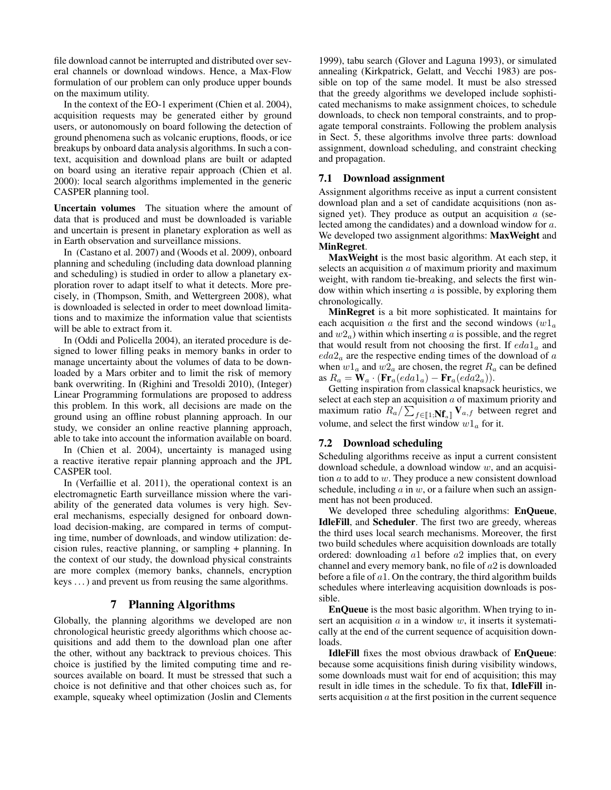file download cannot be interrupted and distributed over several channels or download windows. Hence, a Max-Flow formulation of our problem can only produce upper bounds on the maximum utility.

In the context of the EO-1 experiment (Chien et al. 2004), acquisition requests may be generated either by ground users, or autonomously on board following the detection of ground phenomena such as volcanic eruptions, floods, or ice breakups by onboard data analysis algorithms. In such a context, acquisition and download plans are built or adapted on board using an iterative repair approach (Chien et al. 2000): local search algorithms implemented in the generic CASPER planning tool.

Uncertain volumes The situation where the amount of data that is produced and must be downloaded is variable and uncertain is present in planetary exploration as well as in Earth observation and surveillance missions.

In (Castano et al. 2007) and (Woods et al. 2009), onboard planning and scheduling (including data download planning and scheduling) is studied in order to allow a planetary exploration rover to adapt itself to what it detects. More precisely, in (Thompson, Smith, and Wettergreen 2008), what is downloaded is selected in order to meet download limitations and to maximize the information value that scientists will be able to extract from it.

In (Oddi and Policella 2004), an iterated procedure is designed to lower filling peaks in memory banks in order to manage uncertainty about the volumes of data to be downloaded by a Mars orbiter and to limit the risk of memory bank overwriting. In (Righini and Tresoldi 2010), (Integer) Linear Programming formulations are proposed to address this problem. In this work, all decisions are made on the ground using an offline robust planning approach. In our study, we consider an online reactive planning approach, able to take into account the information available on board.

In (Chien et al. 2004), uncertainty is managed using a reactive iterative repair planning approach and the JPL CASPER tool.

In (Verfaillie et al. 2011), the operational context is an electromagnetic Earth surveillance mission where the variability of the generated data volumes is very high. Several mechanisms, especially designed for onboard download decision-making, are compared in terms of computing time, number of downloads, and window utilization: decision rules, reactive planning, or sampling + planning. In the context of our study, the download physical constraints are more complex (memory banks, channels, encryption keys . . . ) and prevent us from reusing the same algorithms.

### 7 Planning Algorithms

Globally, the planning algorithms we developed are non chronological heuristic greedy algorithms which choose acquisitions and add them to the download plan one after the other, without any backtrack to previous choices. This choice is justified by the limited computing time and resources available on board. It must be stressed that such a choice is not definitive and that other choices such as, for example, squeaky wheel optimization (Joslin and Clements

1999), tabu search (Glover and Laguna 1993), or simulated annealing (Kirkpatrick, Gelatt, and Vecchi 1983) are possible on top of the same model. It must be also stressed that the greedy algorithms we developed include sophisticated mechanisms to make assignment choices, to schedule downloads, to check non temporal constraints, and to propagate temporal constraints. Following the problem analysis in Sect. 5, these algorithms involve three parts: download assignment, download scheduling, and constraint checking and propagation.

### 7.1 Download assignment

Assignment algorithms receive as input a current consistent download plan and a set of candidate acquisitions (non assigned yet). They produce as output an acquisition  $a$  (selected among the candidates) and a download window for a. We developed two assignment algorithms: MaxWeight and MinRegret.

MaxWeight is the most basic algorithm. At each step, it selects an acquisition  $\alpha$  of maximum priority and maximum weight, with random tie-breaking, and selects the first window within which inserting  $a$  is possible, by exploring them chronologically.

MinRegret is a bit more sophisticated. It maintains for each acquisition a the first and the second windows  $(w1_a)$ and  $w2_a$ ) within which inserting a is possible, and the regret that would result from not choosing the first. If  $eda1_a$  and  $eda2<sub>a</sub>$  are the respective ending times of the download of  $a$ when  $w1_a$  and  $w2_a$  are chosen, the regret  $R_a$  can be defined as  $R_a = \mathbf{W}_a \cdot (\mathbf{Fr}_a (eda1_a) - \mathbf{Fr}_a (eda2_a)).$ 

Getting inspiration from classical knapsack heuristics, we select at each step an acquisition  $a$  of maximum priority and maximum ratio  $R_a / \sum_{f \in [\![ 1, ]} \mathbf{N}_{f_a} \mathbf{V}_{a,f}$  between regret and volume, and select the first window  $w1_a$  for it.

### 7.2 Download scheduling

Scheduling algorithms receive as input a current consistent download schedule, a download window  $w$ , and an acquisition  $a$  to add to  $w$ . They produce a new consistent download schedule, including  $\alpha$  in  $w$ , or a failure when such an assignment has not been produced.

We developed three scheduling algorithms: EnQueue, IdleFill, and Scheduler. The first two are greedy, whereas the third uses local search mechanisms. Moreover, the first two build schedules where acquisition downloads are totally ordered: downloading a1 before a2 implies that, on every channel and every memory bank, no file of a2 is downloaded before a file of  $a1$ . On the contrary, the third algorithm builds schedules where interleaving acquisition downloads is possible.

EnQueue is the most basic algorithm. When trying to insert an acquisition  $a$  in a window  $w$ , it inserts it systematically at the end of the current sequence of acquisition downloads.

IdleFill fixes the most obvious drawback of EnQueue: because some acquisitions finish during visibility windows, some downloads must wait for end of acquisition; this may result in idle times in the schedule. To fix that, IdleFill inserts acquisition  $a$  at the first position in the current sequence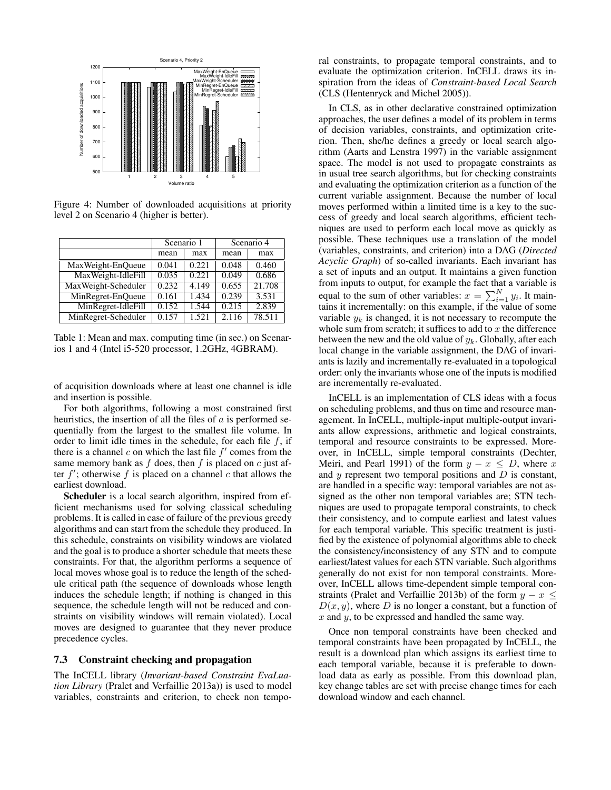

Figure 4: Number of downloaded acquisitions at priority level 2 on Scenario 4 (higher is better).

|                     | Scenario 1 |       | Scenario $\overline{4}$ |        |  |
|---------------------|------------|-------|-------------------------|--------|--|
|                     | mean       | max   | mean                    | max    |  |
| MaxWeight-EnQueue   | 0.041      | 0.221 | 0.048                   | 0.460  |  |
| MaxWeight-IdleFill  | 0.035      | 0.221 | 0.049                   | 0.686  |  |
| MaxWeight-Scheduler | 0.232      | 4.149 | 0.655                   | 21.708 |  |
| MinRegret-EnQueue   | 0.161      | 1.434 | 0.239                   | 3.531  |  |
| MinRegret-IdleFill  | 0.152      | 1.544 | 0.215                   | 2.839  |  |
| MinRegret-Scheduler | 0.157      | 1.521 | 2.116                   | 78.511 |  |

Table 1: Mean and max. computing time (in sec.) on Scenarios 1 and 4 (Intel i5-520 processor, 1.2GHz, 4GBRAM).

of acquisition downloads where at least one channel is idle and insertion is possible.

For both algorithms, following a most constrained first heuristics, the insertion of all the files of  $a$  is performed sequentially from the largest to the smallest file volume. In order to limit idle times in the schedule, for each file  $f$ , if there is a channel  $c$  on which the last file  $f'$  comes from the same memory bank as  $f$  does, then  $f$  is placed on  $c$  just after  $f'$ ; otherwise  $f$  is placed on a channel  $c$  that allows the earliest download.

Scheduler is a local search algorithm, inspired from efficient mechanisms used for solving classical scheduling problems. It is called in case of failure of the previous greedy algorithms and can start from the schedule they produced. In this schedule, constraints on visibility windows are violated and the goal is to produce a shorter schedule that meets these constraints. For that, the algorithm performs a sequence of local moves whose goal is to reduce the length of the schedule critical path (the sequence of downloads whose length induces the schedule length; if nothing is changed in this sequence, the schedule length will not be reduced and constraints on visibility windows will remain violated). Local moves are designed to guarantee that they never produce precedence cycles.

#### 7.3 Constraint checking and propagation

The InCELL library (*Invariant-based Constraint EvaLuation Library* (Pralet and Verfaillie 2013a)) is used to model variables, constraints and criterion, to check non temporal constraints, to propagate temporal constraints, and to evaluate the optimization criterion. InCELL draws its inspiration from the ideas of *Constraint-based Local Search* (CLS (Hentenryck and Michel 2005)).

In CLS, as in other declarative constrained optimization approaches, the user defines a model of its problem in terms of decision variables, constraints, and optimization criterion. Then, she/he defines a greedy or local search algorithm (Aarts and Lenstra 1997) in the variable assignment space. The model is not used to propagate constraints as in usual tree search algorithms, but for checking constraints and evaluating the optimization criterion as a function of the current variable assignment. Because the number of local moves performed within a limited time is a key to the success of greedy and local search algorithms, efficient techniques are used to perform each local move as quickly as possible. These techniques use a translation of the model (variables, constraints, and criterion) into a DAG (*Directed Acyclic Graph*) of so-called invariants. Each invariant has a set of inputs and an output. It maintains a given function from inputs to output, for example the fact that a variable is equal to the sum of other variables:  $x = \sum_{i=1}^{N} y_i$ . It maintains it incrementally: on this example, if the value of some variable  $y_k$  is changed, it is not necessary to recompute the whole sum from scratch; it suffices to add to  $x$  the difference between the new and the old value of  $y_k$ . Globally, after each local change in the variable assignment, the DAG of invariants is lazily and incrementally re-evaluated in a topological order: only the invariants whose one of the inputs is modified are incrementally re-evaluated.

InCELL is an implementation of CLS ideas with a focus on scheduling problems, and thus on time and resource management. In InCELL, multiple-input multiple-output invariants allow expressions, arithmetic and logical constraints, temporal and resource constraints to be expressed. Moreover, in InCELL, simple temporal constraints (Dechter, Meiri, and Pearl 1991) of the form  $y - x \le D$ , where x and  $y$  represent two temporal positions and  $D$  is constant, are handled in a specific way: temporal variables are not assigned as the other non temporal variables are; STN techniques are used to propagate temporal constraints, to check their consistency, and to compute earliest and latest values for each temporal variable. This specific treatment is justified by the existence of polynomial algorithms able to check the consistency/inconsistency of any STN and to compute earliest/latest values for each STN variable. Such algorithms generally do not exist for non temporal constraints. Moreover, InCELL allows time-dependent simple temporal constraints (Pralet and Verfaillie 2013b) of the form  $y - x <$  $D(x, y)$ , where D is no longer a constant, but a function of  $x$  and  $y$ , to be expressed and handled the same way.

Once non temporal constraints have been checked and temporal constraints have been propagated by InCELL, the result is a download plan which assigns its earliest time to each temporal variable, because it is preferable to download data as early as possible. From this download plan, key change tables are set with precise change times for each download window and each channel.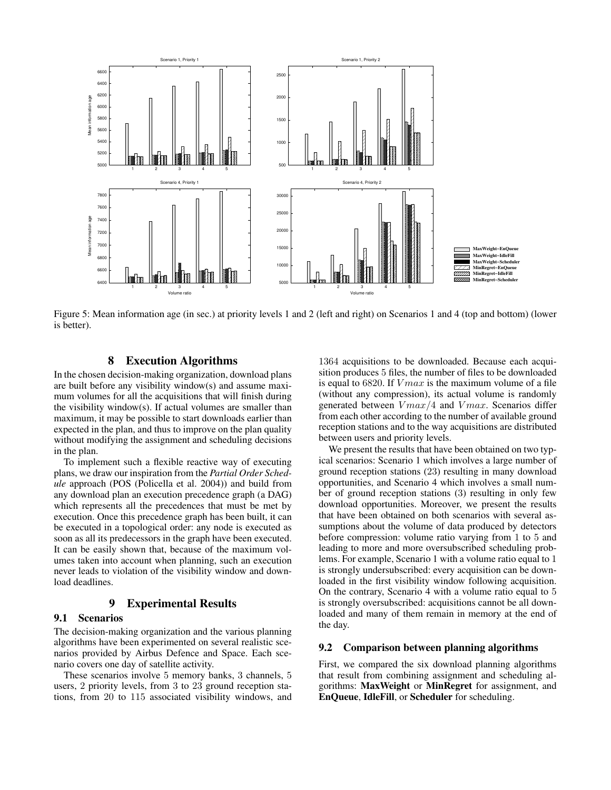

Figure 5: Mean information age (in sec.) at priority levels 1 and 2 (left and right) on Scenarios 1 and 4 (top and bottom) (lower is better).

### 8 Execution Algorithms

In the chosen decision-making organization, download plans are built before any visibility window(s) and assume maximum volumes for all the acquisitions that will finish during the visibility window(s). If actual volumes are smaller than maximum, it may be possible to start downloads earlier than expected in the plan, and thus to improve on the plan quality without modifying the assignment and scheduling decisions in the plan.

To implement such a flexible reactive way of executing plans, we draw our inspiration from the *Partial Order Schedule* approach (POS (Policella et al. 2004)) and build from any download plan an execution precedence graph (a DAG) which represents all the precedences that must be met by execution. Once this precedence graph has been built, it can be executed in a topological order: any node is executed as soon as all its predecessors in the graph have been executed. It can be easily shown that, because of the maximum volumes taken into account when planning, such an execution never leads to violation of the visibility window and download deadlines.

### 9 Experimental Results

#### 9.1 Scenarios

The decision-making organization and the various planning algorithms have been experimented on several realistic scenarios provided by Airbus Defence and Space. Each scenario covers one day of satellite activity.

These scenarios involve 5 memory banks, 3 channels, 5 users, 2 priority levels, from 3 to 23 ground reception stations, from 20 to 115 associated visibility windows, and

1364 acquisitions to be downloaded. Because each acquisition produces 5 files, the number of files to be downloaded is equal to 6820. If  $V$ *max* is the maximum volume of a file (without any compression), its actual volume is randomly generated between  $V$ *max*/4 and  $V$ *max*. Scenarios differ from each other according to the number of available ground reception stations and to the way acquisitions are distributed between users and priority levels.

We present the results that have been obtained on two typical scenarios: Scenario 1 which involves a large number of ground reception stations (23) resulting in many download opportunities, and Scenario 4 which involves a small number of ground reception stations (3) resulting in only few download opportunities. Moreover, we present the results that have been obtained on both scenarios with several assumptions about the volume of data produced by detectors before compression: volume ratio varying from 1 to 5 and leading to more and more oversubscribed scheduling problems. For example, Scenario 1 with a volume ratio equal to 1 is strongly undersubscribed: every acquisition can be downloaded in the first visibility window following acquisition. On the contrary, Scenario 4 with a volume ratio equal to 5 is strongly oversubscribed: acquisitions cannot be all downloaded and many of them remain in memory at the end of the day.

#### 9.2 Comparison between planning algorithms

First, we compared the six download planning algorithms that result from combining assignment and scheduling algorithms: MaxWeight or MinRegret for assignment, and EnQueue, IdleFill, or Scheduler for scheduling.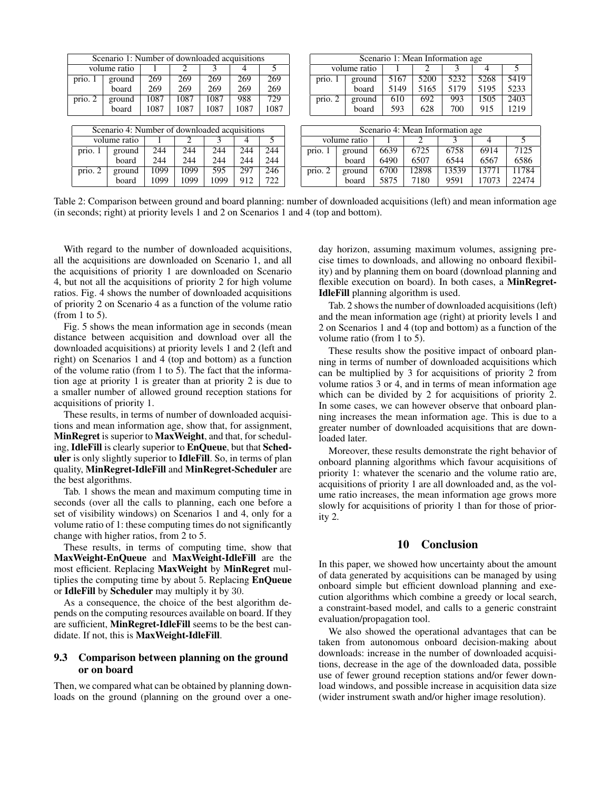| Scenario 1: Number of downloaded acquisitions |                                               |      |      |      |      |      | Scenario 1: Mean Information age |              |      |                                  |       |       |       |
|-----------------------------------------------|-----------------------------------------------|------|------|------|------|------|----------------------------------|--------------|------|----------------------------------|-------|-------|-------|
|                                               | volume ratio                                  |      | ∍    | 3    |      | 5    | volume ratio                     |              |      |                                  |       | 4     | 5.    |
| prio. 1                                       | ground                                        | 269  | 269  | 269  | 269  | 269  | prio. 1                          | ground       | 5167 | 5200                             | 5232  | 5268  | 5419  |
|                                               | board                                         | 269  | 269  | 269  | 269  | 269  |                                  | board        | 5149 | 5165                             | 5179  | 5195  | 5233  |
| prio. 2                                       | ground                                        | 1087 | 1087 | 1087 | 988  | 729  | prio. 2                          | ground       | 610  | 692                              | 993   | 1505  | 2403  |
|                                               | board                                         | 1087 | 1087 | 1087 | 1087 | 1087 |                                  | board        | 593  | 628                              | 700   | 915   | 1219  |
|                                               |                                               |      |      |      |      |      |                                  |              |      |                                  |       |       |       |
|                                               |                                               |      |      |      |      |      |                                  |              |      |                                  |       |       |       |
|                                               | Scenario 4: Number of downloaded acquisitions |      |      |      |      |      |                                  |              |      | Scenario 4: Mean Information age |       |       |       |
|                                               | volume ratio                                  |      |      | 3    | 4    | 5    |                                  | volume ratio |      |                                  |       | 4     | 5     |
| prio.                                         | ground                                        | 244  | 244  | 244  | 244  | 244  | prio. 1                          | ground       | 6639 | 6725                             | 6758  | 6914  | 7125  |
|                                               | board                                         | 244  | 244  | 244  | 244  | 244  |                                  | board        | 6490 | 6507                             | 6544  | 6567  | 6586  |
| prio. 2                                       | ground                                        | 1099 | 1099 | 595  | 297  | 246  | prio. 2                          | ground       | 6700 | 12898                            | 13539 | 13771 | 11784 |
|                                               | board                                         | 1099 | 1099 | 1099 | 912  | 722  |                                  | board        | 5875 | 7180                             | 9591  | 17073 | 22474 |

Table 2: Comparison between ground and board planning: number of downloaded acquisitions (left) and mean information age (in seconds; right) at priority levels 1 and 2 on Scenarios 1 and 4 (top and bottom).

With regard to the number of downloaded acquisitions, all the acquisitions are downloaded on Scenario 1, and all the acquisitions of priority 1 are downloaded on Scenario 4, but not all the acquisitions of priority 2 for high volume ratios. Fig. 4 shows the number of downloaded acquisitions of priority 2 on Scenario 4 as a function of the volume ratio (from 1 to 5).

Fig. 5 shows the mean information age in seconds (mean distance between acquisition and download over all the downloaded acquisitions) at priority levels 1 and 2 (left and right) on Scenarios 1 and 4 (top and bottom) as a function of the volume ratio (from 1 to 5). The fact that the information age at priority 1 is greater than at priority 2 is due to a smaller number of allowed ground reception stations for acquisitions of priority 1.

These results, in terms of number of downloaded acquisitions and mean information age, show that, for assignment, MinRegret is superior to MaxWeight, and that, for scheduling, IdleFill is clearly superior to EnQueue, but that Scheduler is only slightly superior to IdleFill. So, in terms of plan quality, MinRegret-IdleFill and MinRegret-Scheduler are the best algorithms.

Tab. 1 shows the mean and maximum computing time in seconds (over all the calls to planning, each one before a set of visibility windows) on Scenarios 1 and 4, only for a volume ratio of 1: these computing times do not significantly change with higher ratios, from 2 to 5.

These results, in terms of computing time, show that MaxWeight-EnQueue and MaxWeight-IdleFill are the most efficient. Replacing MaxWeight by MinRegret multiplies the computing time by about 5. Replacing EnQueue or IdleFill by Scheduler may multiply it by 30.

As a consequence, the choice of the best algorithm depends on the computing resources available on board. If they are sufficient, MinRegret-IdleFill seems to be the best candidate. If not, this is MaxWeight-IdleFill.

#### 9.3 Comparison between planning on the ground or on board

Then, we compared what can be obtained by planning downloads on the ground (planning on the ground over a oneday horizon, assuming maximum volumes, assigning precise times to downloads, and allowing no onboard flexibility) and by planning them on board (download planning and flexible execution on board). In both cases, a MinRegret-IdleFill planning algorithm is used.

Tab. 2 shows the number of downloaded acquisitions (left) and the mean information age (right) at priority levels 1 and 2 on Scenarios 1 and 4 (top and bottom) as a function of the volume ratio (from 1 to 5).

These results show the positive impact of onboard planning in terms of number of downloaded acquisitions which can be multiplied by 3 for acquisitions of priority 2 from volume ratios 3 or 4, and in terms of mean information age which can be divided by 2 for acquisitions of priority 2. In some cases, we can however observe that onboard planning increases the mean information age. This is due to a greater number of downloaded acquisitions that are downloaded later.

Moreover, these results demonstrate the right behavior of onboard planning algorithms which favour acquisitions of priority 1: whatever the scenario and the volume ratio are, acquisitions of priority 1 are all downloaded and, as the volume ratio increases, the mean information age grows more slowly for acquisitions of priority 1 than for those of priority 2.

### 10 Conclusion

In this paper, we showed how uncertainty about the amount of data generated by acquisitions can be managed by using onboard simple but efficient download planning and execution algorithms which combine a greedy or local search, a constraint-based model, and calls to a generic constraint evaluation/propagation tool.

We also showed the operational advantages that can be taken from autonomous onboard decision-making about downloads: increase in the number of downloaded acquisitions, decrease in the age of the downloaded data, possible use of fewer ground reception stations and/or fewer download windows, and possible increase in acquisition data size (wider instrument swath and/or higher image resolution).